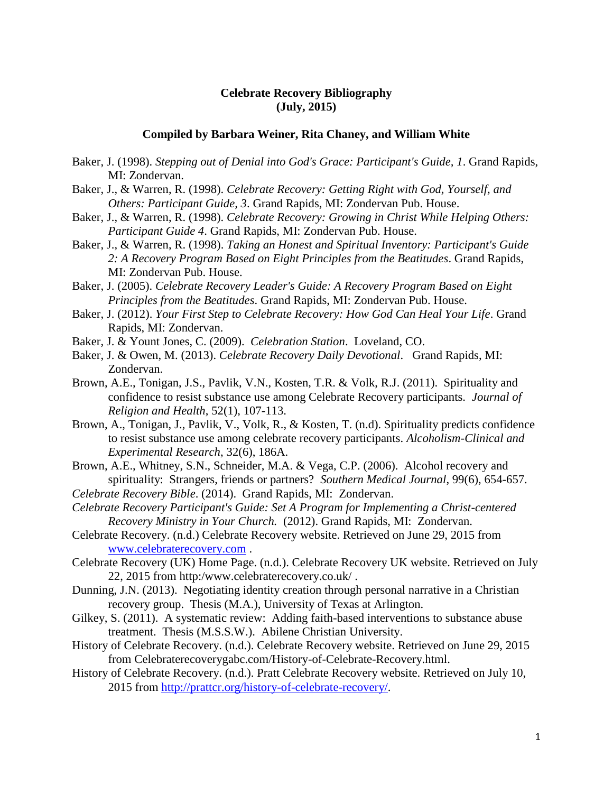## **Celebrate Recovery Bibliography (July, 2015)**

## **Compiled by Barbara Weiner, Rita Chaney, and William White**

- Baker, J. (1998). *Stepping out of Denial into God's Grace: Participant's Guide, 1*. Grand Rapids, MI: Zondervan.
- Baker, J., & Warren, R. (1998). *Celebrate Recovery: Getting Right with God, Yourself, and Others: Participant Guide, 3*. Grand Rapids, MI: Zondervan Pub. House.
- Baker, J., & Warren, R. (1998). *Celebrate Recovery: Growing in Christ While Helping Others: Participant Guide 4*. Grand Rapids, MI: Zondervan Pub. House.
- Baker, J., & Warren, R. (1998). *Taking an Honest and Spiritual Inventory: Participant's Guide 2: A Recovery Program Based on Eight Principles from the Beatitudes*. Grand Rapids, MI: Zondervan Pub. House.
- Baker, J. (2005). *Celebrate Recovery Leader's Guide: A Recovery Program Based on Eight Principles from the Beatitudes*. Grand Rapids, MI: Zondervan Pub. House.
- Baker, J. (2012). *Your First Step to Celebrate Recovery: How God Can Heal Your Life*. Grand Rapids, MI: Zondervan.
- Baker, J. & Yount Jones, C. (2009). *[Celebration Station](http://firstsearch.oclc.org/WebZ/FSFETCH?fetchtype=fullrecord:sessionid=fsapp3-36049-ib0yunqf-7qx53j:entitypagenum=5:0:recno=35:resultset=2:format=FI:next=html/record.html:bad=error/badfetch.html:entitytoprecno=35:entitycurrecno=35:numrecs=1)*. Loveland, CO.
- Baker, J. & Owen, M. (2013). *Celebrate Recovery Daily Devotional*. Grand Rapids, MI: Zondervan.
- Brown, A.E., Tonigan, J.S., Pavlik, V.N., Kosten, T.R. & Volk, R.J. (2011). Spirituality and confidence to resist substance use among Celebrate Recovery participants. *Journal of Religion and Health*, 52(1), 107-113.
- Brown, A., Tonigan, J., Pavlik, V., Volk, R., & Kosten, T. (n.d). Spirituality predicts confidence to resist substance use among celebrate recovery participants. *Alcoholism-Clinical and Experimental Research*, 32(6), 186A.
- Brown, A.E., Whitney, S.N., Schneider, M.A. & Vega, C.P. (2006). Alcohol recovery and spirituality: Strangers, friends or partners? *Southern Medical Journal*, 99(6), 654-657.
- *Celebrate Recovery Bible*. (2014). Grand Rapids, MI: Zondervan.
- *Celebrate Recovery Participant's Guide: [Set A Program for Implementing a Christ-centered](http://firstsearch.oclc.org/WebZ/FSFETCH?fetchtype=fullrecord:sessionid=fsapp3-36049-ib0yunqf-7qx53j:entitypagenum=5:0:recno=33:resultset=2:format=FI:next=html/record.html:bad=error/badfetch.html:entitytoprecno=33:entitycurrecno=33:numrecs=1)  [Recovery Ministry in Your Church.](http://firstsearch.oclc.org/WebZ/FSFETCH?fetchtype=fullrecord:sessionid=fsapp3-36049-ib0yunqf-7qx53j:entitypagenum=5:0:recno=33:resultset=2:format=FI:next=html/record.html:bad=error/badfetch.html:entitytoprecno=33:entitycurrecno=33:numrecs=1)* (2012). Grand Rapids, MI: Zondervan.
- Celebrate Recovery. (n.d.) Celebrate Recovery website. Retrieved on June 29, 2015 from [www.celebraterecovery.com](http://www.celebraterecovery.com/) .
- Celebrate Recovery (UK) Home Page. (n.d.). Celebrate Recovery UK website. Retrieved on July 22, 2015 from http:/www.celebraterecovery.co.uk/ .
- Dunning, J.N. (2013). Negotiating identity creation through personal narrative in a Christian recovery group. Thesis (M.A.), University of Texas at Arlington.
- Gilkey, S. (2011). [A systematic review: Adding faith-based interventions to substance abuse](http://firstsearch.oclc.org/WebZ/FSFETCH?fetchtype=fullrecord:sessionid=fsapp3-36049-ib0yunqf-7qx53j:entitypagenum=5:0:recno=55:resultset=2:format=FI:next=html/record.html:bad=error/badfetch.html:entitytoprecno=55:entitycurrecno=55:numrecs=1)  [treatment. T](http://firstsearch.oclc.org/WebZ/FSFETCH?fetchtype=fullrecord:sessionid=fsapp3-36049-ib0yunqf-7qx53j:entitypagenum=5:0:recno=55:resultset=2:format=FI:next=html/record.html:bad=error/badfetch.html:entitytoprecno=55:entitycurrecno=55:numrecs=1)hesis (M.S.S.W.). Abilene Christian University.
- History of Celebrate Recovery. (n.d.). Celebrate Recovery website. Retrieved on June 29, 2015 from Celebraterecoverygabc.com/History-of-Celebrate-Recovery.html.
- History of Celebrate Recovery. (n.d.). Pratt Celebrate Recovery website. Retrieved on July 10, 2015 from [http://prattcr.org/history-of-celebrate-recovery/.](http://prattcr.org/history-of-celebrate-recovery/)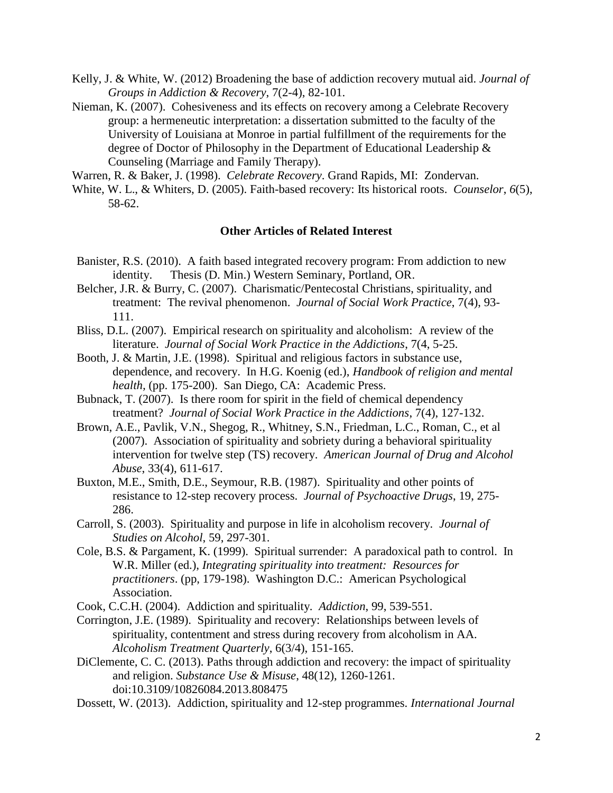- Kelly, J. & White, W. (2012) Broadening the base of addiction recovery mutual aid. *Journal of Groups in Addiction & Recovery*, 7(2-4), 82-101.
- Nieman, K. (2007). [Cohesiveness and its effects on recovery among a Celebrate Recovery](http://firstsearch.oclc.org/WebZ/FSFETCH?fetchtype=fullrecord:sessionid=fsapp3-36049-ib0yunqf-7qx53j:entitypagenum=5:0:recno=38:resultset=2:format=FI:next=html/record.html:bad=error/badfetch.html:entitytoprecno=38:entitycurrecno=38:numrecs=1)  [group: a hermeneutic interpretation: a dissertation submitted to the faculty of the](http://firstsearch.oclc.org/WebZ/FSFETCH?fetchtype=fullrecord:sessionid=fsapp3-36049-ib0yunqf-7qx53j:entitypagenum=5:0:recno=38:resultset=2:format=FI:next=html/record.html:bad=error/badfetch.html:entitytoprecno=38:entitycurrecno=38:numrecs=1)  [University of Louisiana at Monroe in partial fulfillment of the requirements for the](http://firstsearch.oclc.org/WebZ/FSFETCH?fetchtype=fullrecord:sessionid=fsapp3-36049-ib0yunqf-7qx53j:entitypagenum=5:0:recno=38:resultset=2:format=FI:next=html/record.html:bad=error/badfetch.html:entitytoprecno=38:entitycurrecno=38:numrecs=1)  [degree of Doctor of Philosophy in the Department of Educational Leadership &](http://firstsearch.oclc.org/WebZ/FSFETCH?fetchtype=fullrecord:sessionid=fsapp3-36049-ib0yunqf-7qx53j:entitypagenum=5:0:recno=38:resultset=2:format=FI:next=html/record.html:bad=error/badfetch.html:entitytoprecno=38:entitycurrecno=38:numrecs=1)  [Counseling \(Marriage and Family Therapy\).](http://firstsearch.oclc.org/WebZ/FSFETCH?fetchtype=fullrecord:sessionid=fsapp3-36049-ib0yunqf-7qx53j:entitypagenum=5:0:recno=38:resultset=2:format=FI:next=html/record.html:bad=error/badfetch.html:entitytoprecno=38:entitycurrecno=38:numrecs=1)

Warren, R. & Baker, J. (1998). *Celebrate Recovery*. Grand Rapids, MI: Zondervan.

White, W. L., & Whiters, D. (2005). Faith-based recovery: Its historical roots. *Counselor*, *6*(5), 58-62.

## **Other Articles of Related Interest**

- Banister, R.S. (2010). A faith based integrated recovery program: From addiction to new identity. Thesis (D. Min.) Western Seminary, Portland, OR.
- Belcher, J.R. & Burry, C. (2007). Charismatic/Pentecostal Christians, spirituality, and treatment: The revival phenomenon. *Journal of Social Work Practice*, 7(4), 93- 111.
- Bliss, D.L. (2007). Empirical research on spirituality and alcoholism: A review of the literature. *Journal of Social Work Practice in the Addictions*, 7(4, 5-25.
- Booth, J. & Martin, J.E. (1998). Spiritual and religious factors in substance use, dependence, and recovery. In H.G. Koenig (ed.), *Handbook of religion and mental health,* (pp. 175-200). San Diego, CA: Academic Press.
- Bubnack, T. (2007). Is there room for spirit in the field of chemical dependency treatment? *Journal of Social Work Practice in the Addictions*, 7(4), 127-132.
- Brown, A.E., Pavlik, V.N., Shegog, R., Whitney, S.N., Friedman, L.C., Roman, C., et al (2007). Association of spirituality and sobriety during a behavioral spirituality intervention for twelve step (TS) recovery. *American Journal of Drug and Alcohol Abuse*, 33(4), 611-617.
- Buxton, M.E., Smith, D.E., Seymour, R.B. (1987). Spirituality and other points of resistance to 12-step recovery process. *Journal of Psychoactive Drugs*, 19, 275- 286.
- Carroll, S. (2003). Spirituality and purpose in life in alcoholism recovery. *Journal of Studies on Alcohol*, 59, 297-301.
- Cole, B.S. & Pargament, K. (1999). Spiritual surrender: A paradoxical path to control. In W.R. Miller (ed.), *Integrating spirituality into treatment: Resources for practitioners*. (pp, 179-198). Washington D.C.: American Psychological Association.
- Cook, C.C.H. (2004). Addiction and spirituality. *Addiction*, 99, 539-551.
- Corrington, J.E. (1989). Spirituality and recovery: Relationships between levels of spirituality, contentment and stress during recovery from alcoholism in AA. *Alcoholism Treatment Quarterly*, 6(3/4), 151-165.
- DiClemente, C. C. (2013). Paths through addiction and recovery: the impact of spirituality and religion. *Substance Use & Misuse*, 48(12), 1260-1261. doi:10.3109/10826084.2013.808475
- Dossett, W. (2013). Addiction, spirituality and 12-step programmes. *International Journal*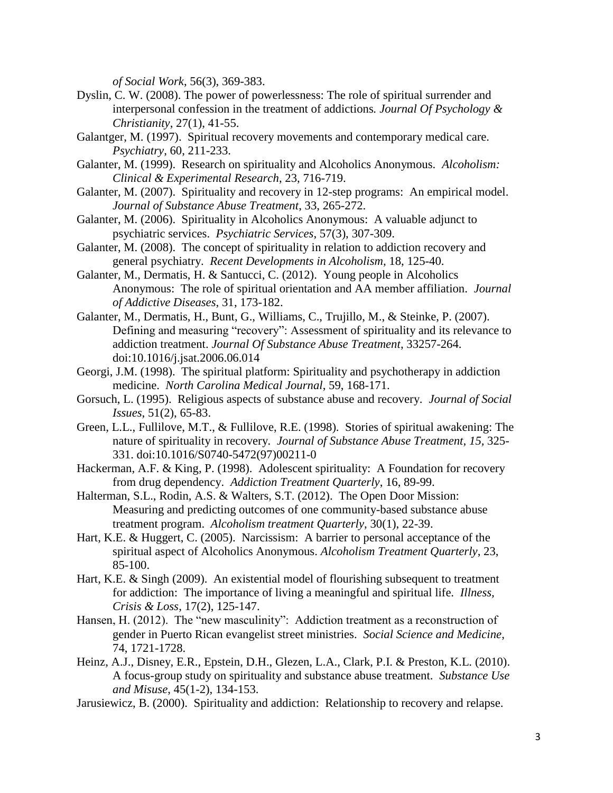*of Social Work*, 56(3), 369-383.

- Dyslin, C. W. (2008). The power of powerlessness: The role of spiritual surrender and interpersonal confession in the treatment of addictions*. Journal Of Psychology & Christianity*, 27(1), 41-55.
- Galantger, M. (1997). Spiritual recovery movements and contemporary medical care. *Psychiatry*, 60, 211-233.
- Galanter, M. (1999). Research on spirituality and Alcoholics Anonymous. *Alcoholism: Clinical & Experimental Research*, 23, 716-719.
- Galanter, M. (2007). Spirituality and recovery in 12-step programs: An empirical model. *Journal of Substance Abuse Treatment*, 33, 265-272.
- Galanter, M. (2006). Spirituality in Alcoholics Anonymous: A valuable adjunct to psychiatric services. *Psychiatric Services*, 57(3), 307-309.
- Galanter, M. (2008). The concept of spirituality in relation to addiction recovery and general psychiatry. *Recent Developments in Alcoholism*, 18, 125-40.
- Galanter, M., Dermatis, H. & Santucci, C. (2012). Young people in Alcoholics Anonymous: The role of spiritual orientation and AA member affiliation. *Journal of Addictive Diseases*, 31, 173-182.
- Galanter, M., Dermatis, H., Bunt, G., Williams, C., Trujillo, M., & Steinke, P. (2007). Defining and measuring "recovery": Assessment of spirituality and its relevance to addiction treatment. *Journal Of Substance Abuse Treatment*, 33257-264. doi:10.1016/j.jsat.2006.06.014
- Georgi, J.M. (1998). The spiritual platform: Spirituality and psychotherapy in addiction medicine. *North Carolina Medical Journal*, 59, 168-171.
- Gorsuch, L. (1995). Religious aspects of substance abuse and recovery. *Journal of Social Issues*, 51(2), 65-83.
- Green, L.L., Fullilove, M.T., & Fullilove, R.E. (1998). Stories of spiritual awakening: The nature of spirituality in recovery*. Journal of Substance Abuse Treatment, 15,* 325- 331. doi:10.1016/S0740-5472(97)00211-0
- Hackerman, A.F. & King, P. (1998). Adolescent spirituality: A Foundation for recovery from drug dependency. *Addiction Treatment Quarterly*, 16, 89-99.
- Halterman, S.L., Rodin, A.S. & Walters, S.T. (2012). The Open Door Mission: Measuring and predicting outcomes of one community-based substance abuse treatment program. *Alcoholism treatment Quarterly*, 30(1), 22-39.
- Hart, K.E. & Huggert, C. (2005). Narcissism: A barrier to personal acceptance of the spiritual aspect of Alcoholics Anonymous. *Alcoholism Treatment Quarterly*, 23, 85-100.
- Hart, K.E. & Singh (2009). An existential model of flourishing subsequent to treatment for addiction: The importance of living a meaningful and spiritual life. *Illness, Crisis & Loss*, 17(2), 125-147.
- Hansen, H. (2012). The "new masculinity": Addiction treatment as a reconstruction of gender in Puerto Rican evangelist street ministries. *Social Science and Medicine*, 74, 1721-1728.
- Heinz, A.J., Disney, E.R., Epstein, D.H., Glezen, L.A., Clark, P.I. & Preston, K.L. (2010). A focus-group study on spirituality and substance abuse treatment. *Substance Use and Misuse*, 45(1-2), 134-153.
- Jarusiewicz, B. (2000). Spirituality and addiction: Relationship to recovery and relapse.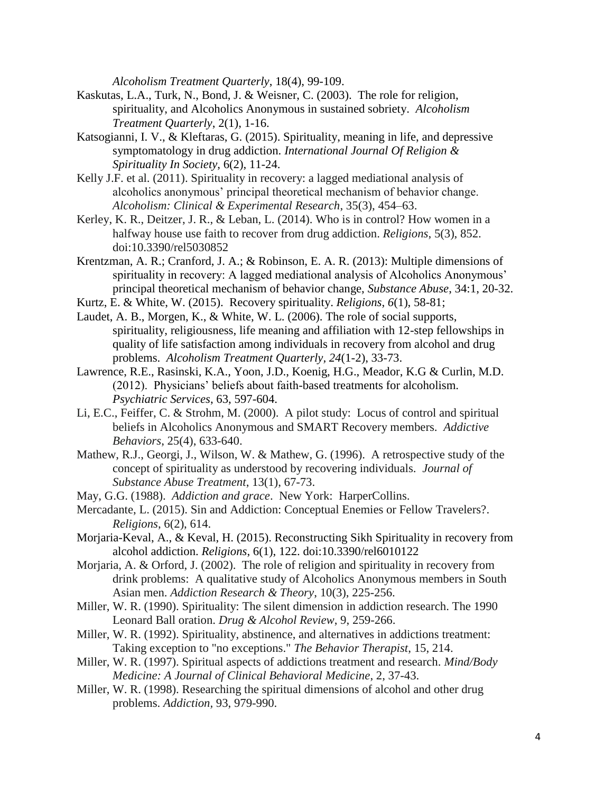*Alcoholism Treatment Quarterly*, 18(4), 99-109.

- Kaskutas, L.A., Turk, N., Bond, J. & Weisner, C. (2003). The role for religion, spirituality, and Alcoholics Anonymous in sustained sobriety. *Alcoholism Treatment Quarterly*, 2(1), 1-16.
- Katsogianni, I. V., & Kleftaras, G. (2015). Spirituality, meaning in life, and depressive symptomatology in drug addiction. *International Journal Of Religion & Spirituality In Society*, 6(2), 11-24.
- Kelly J.F. et al. (2011). Spirituality in recovery: a lagged mediational analysis of alcoholics anonymous' principal theoretical mechanism of behavior change. *Alcoholism: Clinical & Experimental Research*, 35(3), 454–63.
- Kerley, K. R., Deitzer, J. R., & Leban, L. (2014). Who is in control? How women in a halfway house use faith to recover from drug addiction. *Religions*, 5(3), 852. doi:10.3390/rel5030852
- Krentzman, A. R.; Cranford, J. A.; & Robinson, E. A. R. (2013): Multiple dimensions of spirituality in recovery: A lagged mediational analysis of Alcoholics Anonymous' principal theoretical mechanism of behavior change, *Substance Abuse*, 34:1, 20-32.
- Kurtz, E. & White, W. (2015). [Recovery spirituality.](http://www.mdpi.com/2077-1444/6/1/58) *Religions*, *6*(1), 58-81;
- Laudet, A. B., Morgen, K., & White, W. L. (2006). The role of social supports, spirituality, religiousness, life meaning and affiliation with 12-step fellowships in quality of life satisfaction among individuals in recovery from alcohol and drug problems. *Alcoholism Treatment Quarterly, 24*(1-2), 33-73.
- Lawrence, R.E., Rasinski, K.A., Yoon, J.D., Koenig, H.G., Meador, K.G & Curlin, M.D. (2012). Physicians' beliefs about faith-based treatments for alcoholism. *Psychiatric Services*, 63, 597-604.
- Li, E.C., Feiffer, C. & Strohm, M. (2000). A pilot study: Locus of control and spiritual beliefs in Alcoholics Anonymous and SMART Recovery members. *Addictive Behaviors*, 25(4), 633-640.
- Mathew, R.J., Georgi, J., Wilson, W. & Mathew, G. (1996). A retrospective study of the concept of spirituality as understood by recovering individuals. *Journal of Substance Abuse Treatment*, 13(1), 67-73.
- May, G.G. (1988). *Addiction and grace*. New York: HarperCollins.
- Mercadante, L. (2015). Sin and Addiction: Conceptual Enemies or Fellow Travelers?. *Religions*, 6(2), 614.
- Morjaria-Keval, A., & Keval, H. (2015). Reconstructing Sikh Spirituality in recovery from alcohol addiction. *Religions*, 6(1), 122. doi:10.3390/rel6010122
- Morjaria, A. & Orford, J. (2002). The role of religion and spirituality in recovery from drink problems: A qualitative study of Alcoholics Anonymous members in South Asian men. *Addiction Research & Theory*, 10(3), 225-256.
- Miller, W. R. (1990). Spirituality: The silent dimension in addiction research. The 1990 Leonard Ball oration. *Drug & Alcohol Review*, 9, 259-266.
- Miller, W. R. (1992). Spirituality, abstinence, and alternatives in addictions treatment: Taking exception to "no exceptions." *The Behavior Therapist*, 15, 214.
- Miller, W. R. (1997). Spiritual aspects of addictions treatment and research. *Mind/Body Medicine: A Journal of Clinical Behavioral Medicine*, 2, 37-43.
- Miller, W. R. (1998). Researching the spiritual dimensions of alcohol and other drug problems. *Addiction,* 93, 979-990.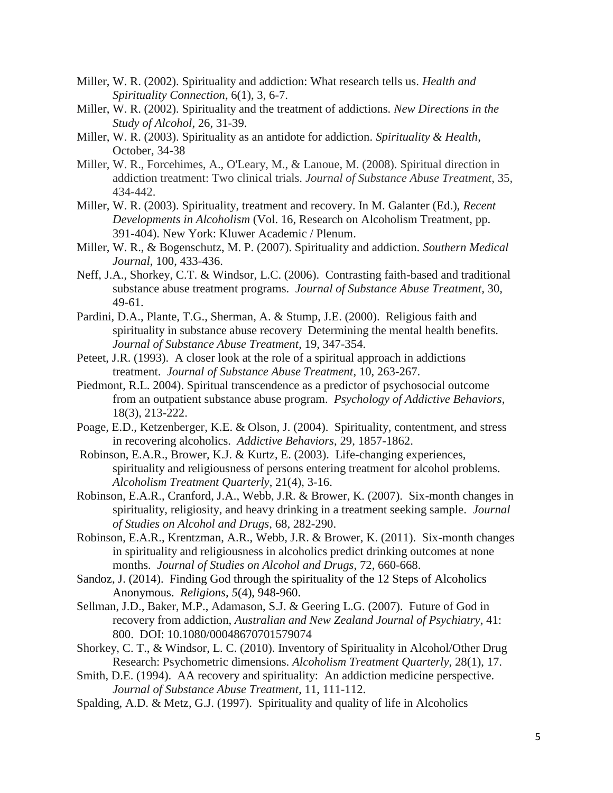- Miller, W. R. (2002). Spirituality and addiction: What research tells us. *Health and Spirituality Connection*, 6(1), 3, 6-7.
- Miller, W. R. (2002). Spirituality and the treatment of addictions. *New Directions in the Study of Alcohol*, 26, 31-39.
- Miller, W. R. (2003). Spirituality as an antidote for addiction. *Spirituality & Health*, October, 34-38
- Miller, W. R., Forcehimes, A., O'Leary, M., & Lanoue, M. (2008). Spiritual direction in addiction treatment: Two clinical trials. *Journal of Substance Abuse Treatment*, 35, 434-442.
- Miller, W. R. (2003). Spirituality, treatment and recovery. In M. Galanter (Ed.), *Recent Developments in Alcoholism* (Vol. 16, Research on Alcoholism Treatment, pp. 391-404). New York: Kluwer Academic / Plenum.
- Miller, W. R., & Bogenschutz, M. P. (2007). Spirituality and addiction. *Southern Medical Journal*, 100, 433-436.
- Neff, J.A., Shorkey, C.T. & Windsor, L.C. (2006). Contrasting faith-based and traditional substance abuse treatment programs. *Journal of Substance Abuse Treatment*, 30, 49-61.
- Pardini, D.A., Plante, T.G., Sherman, A. & Stump, J.E. (2000). Religious faith and spirituality in substance abuse recovery Determining the mental health benefits. *Journal of Substance Abuse Treatment*, 19, 347-354.
- Peteet, J.R. (1993). A closer look at the role of a spiritual approach in addictions treatment. *Journal of Substance Abuse Treatment*, 10, 263-267.
- Piedmont, R.L. 2004). Spiritual transcendence as a predictor of psychosocial outcome from an outpatient substance abuse program. *Psychology of Addictive Behaviors*, 18(3), 213-222.
- Poage, E.D., Ketzenberger, K.E. & Olson, J. (2004). Spirituality, contentment, and stress in recovering alcoholics. *Addictive Behaviors*, 29, 1857-1862.
- Robinson, E.A.R., Brower, K.J. & Kurtz, E. (2003). Life-changing experiences, spirituality and religiousness of persons entering treatment for alcohol problems. *Alcoholism Treatment Quarterly*, 21(4), 3-16.
- Robinson, E.A.R., Cranford, J.A., Webb, J.R. & Brower, K. (2007). Six-month changes in spirituality, religiosity, and heavy drinking in a treatment seeking sample. *Journal of Studies on Alcohol and Drugs*, 68, 282-290.
- Robinson, E.A.R., Krentzman, A.R., Webb, J.R. & Brower, K. (2011). Six-month changes in spirituality and religiousness in alcoholics predict drinking outcomes at none months. *Journal of Studies on Alcohol and Drugs*, 72, 660-668.
- Sandoz, J. (2014). [Finding God through the spirituality of the 12 Steps of Alcoholics](http://www.mdpi.com/2077-1444/5/4/948)  [Anonymous.](http://www.mdpi.com/2077-1444/5/4/948) *Religions, 5*(4), 948-960.
- Sellman, J.D., Baker, M.P., Adamason, S.J. & Geering L.G. (2007). Future of God in recovery from addiction, *Australian and New Zealand Journal of Psychiatry*, 41: 800. DOI: 10.1080/00048670701579074
- Shorkey, C. T., & Windsor, L. C. (2010). Inventory of Spirituality in Alcohol/Other Drug Research: Psychometric dimensions. *Alcoholism Treatment Quarterly*, 28(1), 17.
- Smith, D.E. (1994). AA recovery and spirituality: An addiction medicine perspective. *Journal of Substance Abuse Treatment*, 11, 111-112.
- Spalding, A.D. & Metz, G.J. (1997). Spirituality and quality of life in Alcoholics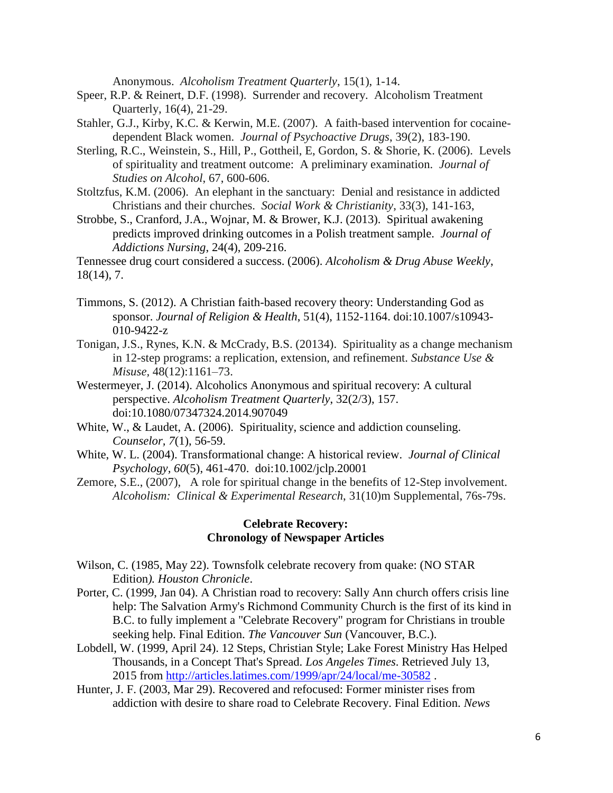Anonymous. *Alcoholism Treatment Quarterly*, 15(1), 1-14.

- Speer, R.P. & Reinert, D.F. (1998). Surrender and recovery. Alcoholism Treatment Quarterly, 16(4), 21-29.
- Stahler, G.J., Kirby, K.C. & Kerwin, M.E. (2007). A faith-based intervention for cocainedependent Black women. *Journal of Psychoactive Drugs*, 39(2), 183-190.
- Sterling, R.C., Weinstein, S., Hill, P., Gottheil, E, Gordon, S. & Shorie, K. (2006). Levels of spirituality and treatment outcome: A preliminary examination. *Journal of Studies on Alcohol*, 67, 600-606.
- Stoltzfus, K.M. (2006). An elephant in the sanctuary: Denial and resistance in addicted Christians and their churches. *Social Work & Christianity*, 33(3), 141-163,
- Strobbe, S., Cranford, J.A., Wojnar, M. & Brower, K.J. (2013). Spiritual awakening predicts improved drinking outcomes in a Polish treatment sample. *Journal of Addictions Nursing*, 24(4), 209-216.

Tennessee drug court considered a success. (2006). *Alcoholism & Drug Abuse Weekly*, 18(14), 7.

- Timmons, S. (2012). A Christian faith-based recovery theory: Understanding God as sponsor. *Journal of Religion & Health*, 51(4), 1152-1164. doi:10.1007/s10943- 010-9422-z
- Tonigan, J.S., Rynes, K.N. & McCrady, B.S. (20134). Spirituality as a change mechanism in 12-step programs: a replication, extension, and refinement. *Substance Use & Misuse,* 48(12):1161–73.
- Westermeyer, J. (2014). Alcoholics Anonymous and spiritual recovery: A cultural perspective. *Alcoholism Treatment Quarterly*, 32(2/3), 157. doi:10.1080/07347324.2014.907049
- White, W., & Laudet, A. (2006). Spirituality, science and addiction counseling. *Counselor, 7*(1), 56-59.
- White, W. L. (2004). Transformational change: A historical review. *Journal of Clinical Psychology, 60*(5), 461-470. doi:10.1002/jclp.20001
- Zemore, S.E., (2007), A role for spiritual change in the benefits of 12-Step involvement. *Alcoholism: Clinical & Experimental Research*, 31(10)m Supplemental, 76s-79s.

## **Celebrate Recovery: Chronology of Newspaper Articles**

- Wilson, C. (1985, May 22). Townsfolk celebrate recovery from quake: (NO STAR Edition*). Houston Chronicle*.
- Porter, C. (1999, Jan 04). A Christian road to recovery: Sally Ann church offers crisis line help: The Salvation Army's Richmond Community Church is the first of its kind in B.C. to fully implement a "Celebrate Recovery" program for Christians in trouble seeking help. Final Edition. *The Vancouver Sun* (Vancouver, B.C.).
- Lobdell, W. (1999, April 24). 12 Steps, Christian Style; Lake Forest Ministry Has Helped Thousands, in a Concept That's Spread. *Los Angeles Times*. Retrieved July 13, 2015 from<http://articles.latimes.com/1999/apr/24/local/me-30582> .
- Hunter, J. F. (2003, Mar 29). Recovered and refocused: Former minister rises from addiction with desire to share road to Celebrate Recovery. Final Edition. *News*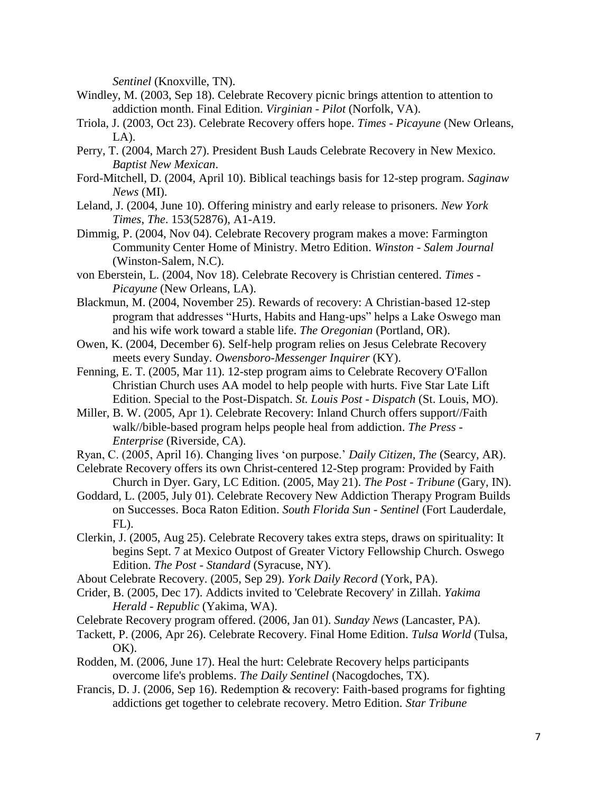*Sentinel* (Knoxville, TN).

- Windley, M. (2003, Sep 18). Celebrate Recovery picnic brings attention to attention to addiction month. Final Edition. *Virginian - Pilot* (Norfolk, VA).
- Triola, J. (2003, Oct 23). Celebrate Recovery offers hope. *Times - Picayune* (New Orleans,  $LA$ ).
- Perry, T. (2004, March 27). President Bush Lauds Celebrate Recovery in New Mexico. *Baptist New Mexican*.
- Ford-Mitchell, D. (2004, April 10). Biblical teachings basis for 12-step program. *Saginaw News* (MI).
- Leland, J. (2004, June 10). Offering ministry and early release to prisoners. *New York Times*, *The*. 153(52876), A1-A19.
- Dimmig, P. (2004, Nov 04). Celebrate Recovery program makes a move: Farmington Community Center Home of Ministry. Metro Edition. *Winston - Salem Journal* (Winston-Salem, N.C).
- von Eberstein, L. (2004, Nov 18). Celebrate Recovery is Christian centered. *Times - Picayune* (New Orleans, LA).
- Blackmun, M. (2004, November 25). Rewards of recovery: A Christian-based 12-step program that addresses "Hurts, Habits and Hang-ups" helps a Lake Oswego man and his wife work toward a stable life. *The Oregonian* (Portland, OR).
- Owen, K. (2004, December 6). Self-help program relies on Jesus Celebrate Recovery meets every Sunday. *Owensboro-Messenger Inquirer* (KY).
- Fenning, E. T. (2005, Mar 11). 12-step program aims to Celebrate Recovery O'Fallon Christian Church uses AA model to help people with hurts. Five Star Late Lift Edition. Special to the Post-Dispatch. *St. Louis Post - Dispatch* (St. Louis, MO).
- Miller, B. W. (2005, Apr 1). Celebrate Recovery: Inland Church offers support//Faith walk//bible-based program helps people heal from addiction. *The Press - Enterprise* (Riverside, CA).
- Ryan, C. (2005, April 16). Changing lives 'on purpose.' *Daily Citizen, The* (Searcy, AR).
- Celebrate Recovery offers its own Christ-centered 12-Step program: Provided by Faith Church in Dyer. Gary, LC Edition. (2005, May 21). *The Post - Tribune* (Gary, IN).
- Goddard, L. (2005, July 01). Celebrate Recovery New Addiction Therapy Program Builds on Successes. Boca Raton Edition. *South Florida Sun - Sentinel* (Fort Lauderdale, FL).
- Clerkin, J. (2005, Aug 25). Celebrate Recovery takes extra steps, draws on spirituality: It begins Sept. 7 at Mexico Outpost of Greater Victory Fellowship Church. Oswego Edition. *The Post - Standard* (Syracuse, NY).
- About Celebrate Recovery. (2005, Sep 29). *York Daily Record* (York, PA).
- Crider, B. (2005, Dec 17). Addicts invited to 'Celebrate Recovery' in Zillah. *Yakima Herald - Republic* (Yakima, WA).

Celebrate Recovery program offered. (2006, Jan 01). *Sunday News* (Lancaster, PA).

- Tackett, P. (2006, Apr 26). Celebrate Recovery. Final Home Edition. *Tulsa World* (Tulsa, OK).
- Rodden, M. (2006, June 17). Heal the hurt: Celebrate Recovery helps participants overcome life's problems. *The Daily Sentinel* (Nacogdoches, TX).
- Francis, D. J. (2006, Sep 16). Redemption & recovery: Faith-based programs for fighting addictions get together to celebrate recovery. Metro Edition. *Star Tribune*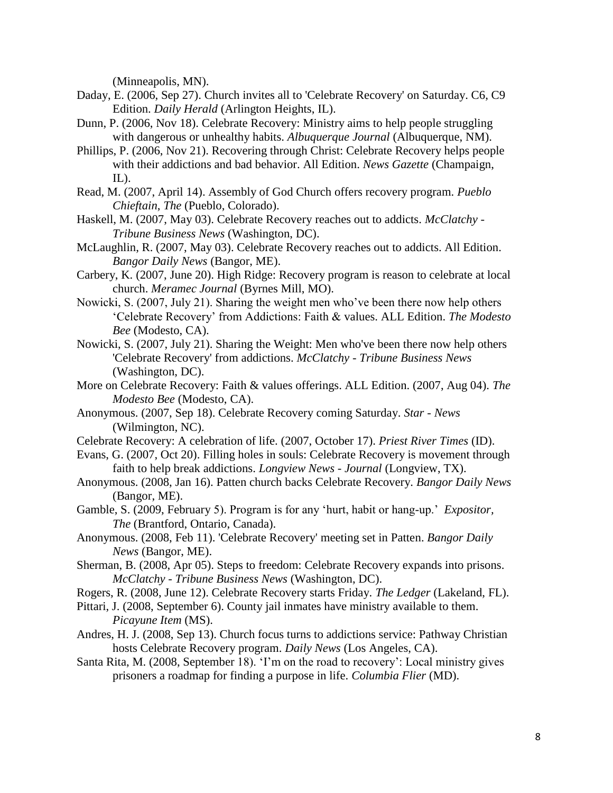(Minneapolis, MN).

- Daday, E. (2006, Sep 27). Church invites all to 'Celebrate Recovery' on Saturday. C6, C9 Edition. *Daily Herald* (Arlington Heights, IL).
- Dunn, P. (2006, Nov 18). Celebrate Recovery: Ministry aims to help people struggling with dangerous or unhealthy habits. *Albuquerque Journal* (Albuquerque, NM).
- Phillips, P. (2006, Nov 21). Recovering through Christ: Celebrate Recovery helps people with their addictions and bad behavior. All Edition. *News Gazette* (Champaign,  $IL$ ).
- Read, M. (2007, April 14). Assembly of God Church offers recovery program. *Pueblo Chieftain*, *The* (Pueblo, Colorado).
- Haskell, M. (2007, May 03). Celebrate Recovery reaches out to addicts. *McClatchy - Tribune Business News* (Washington, DC).
- McLaughlin, R. (2007, May 03). Celebrate Recovery reaches out to addicts. All Edition. *Bangor Daily News* (Bangor, ME).
- Carbery, K. (2007, June 20). High Ridge: Recovery program is reason to celebrate at local church. *Meramec Journal* (Byrnes Mill, MO).
- Nowicki, S. (2007, July 21). Sharing the weight men who've been there now help others 'Celebrate Recovery' from Addictions: Faith & values. ALL Edition. *The Modesto Bee* (Modesto, CA).
- Nowicki, S. (2007, July 21). Sharing the Weight: Men who've been there now help others 'Celebrate Recovery' from addictions. *McClatchy - Tribune Business News* (Washington, DC).
- More on Celebrate Recovery: Faith & values offerings. ALL Edition. (2007, Aug 04). *The Modesto Bee* (Modesto, CA).
- Anonymous. (2007, Sep 18). Celebrate Recovery coming Saturday. *Star - News* (Wilmington, NC).
- Celebrate Recovery: A celebration of life. (2007, October 17). *Priest River Times* (ID).
- Evans, G. (2007, Oct 20). Filling holes in souls: Celebrate Recovery is movement through faith to help break addictions. *Longview News - Journal* (Longview, TX).
- Anonymous. (2008, Jan 16). Patten church backs Celebrate Recovery. *Bangor Daily News* (Bangor, ME).
- Gamble, S. (2009, February 5). Program is for any 'hurt, habit or hang-up.' *Expositor, The* (Brantford, Ontario, Canada).
- Anonymous. (2008, Feb 11). 'Celebrate Recovery' meeting set in Patten. *Bangor Daily News* (Bangor, ME).
- Sherman, B. (2008, Apr 05). Steps to freedom: Celebrate Recovery expands into prisons. *McClatchy - Tribune Business News* (Washington, DC).
- Rogers, R. (2008, June 12). Celebrate Recovery starts Friday. *The Ledger* (Lakeland, FL).
- Pittari, J. (2008, September 6). County jail inmates have ministry available to them. *Picayune Item* (MS).
- Andres, H. J. (2008, Sep 13). Church focus turns to addictions service: Pathway Christian hosts Celebrate Recovery program. *Daily News* (Los Angeles, CA).
- Santa Rita, M. (2008, September 18). 'I'm on the road to recovery': Local ministry gives prisoners a roadmap for finding a purpose in life. *Columbia Flier* (MD).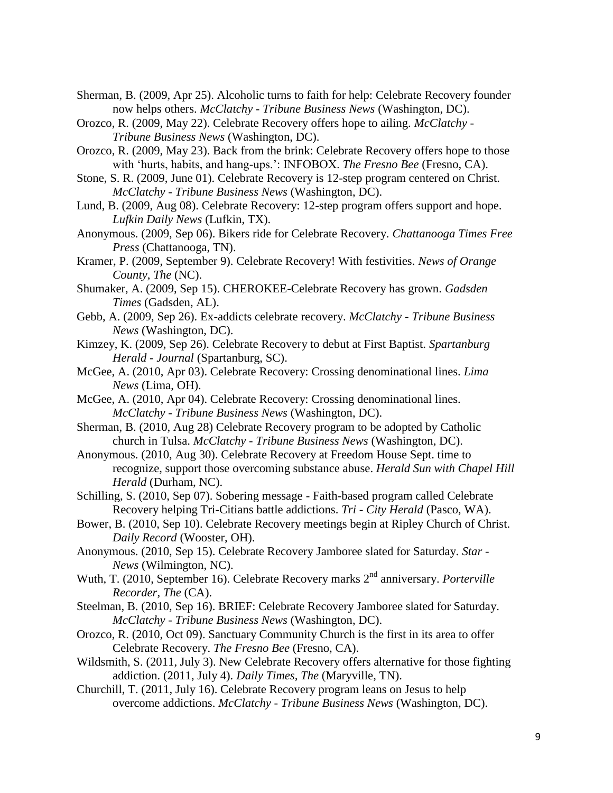- Sherman, B. (2009, Apr 25). Alcoholic turns to faith for help: Celebrate Recovery founder now helps others. *McClatchy - Tribune Business News* (Washington, DC).
- Orozco, R. (2009, May 22). Celebrate Recovery offers hope to ailing. *McClatchy - Tribune Business News* (Washington, DC).
- Orozco, R. (2009, May 23). Back from the brink: Celebrate Recovery offers hope to those with 'hurts, habits, and hang-ups.': INFOBOX. *The Fresno Bee* (Fresno, CA).
- Stone, S. R. (2009, June 01). Celebrate Recovery is 12-step program centered on Christ. *McClatchy - Tribune Business News* (Washington, DC).
- Lund, B. (2009, Aug 08). Celebrate Recovery: 12-step program offers support and hope. *Lufkin Daily News* (Lufkin, TX).
- Anonymous. (2009, Sep 06). Bikers ride for Celebrate Recovery. *Chattanooga Times Free Press* (Chattanooga, TN).
- Kramer, P. (2009, September 9). Celebrate Recovery! With festivities. *News of Orange County*, *The* (NC).
- Shumaker, A. (2009, Sep 15). CHEROKEE-Celebrate Recovery has grown. *Gadsden Times* (Gadsden, AL).
- Gebb, A. (2009, Sep 26). Ex-addicts celebrate recovery. *McClatchy - Tribune Business News* (Washington, DC).
- Kimzey, K. (2009, Sep 26). Celebrate Recovery to debut at First Baptist. *Spartanburg Herald - Journal* (Spartanburg, SC).
- McGee, A. (2010, Apr 03). Celebrate Recovery: Crossing denominational lines. *Lima News* (Lima, OH).
- McGee, A. (2010, Apr 04). Celebrate Recovery: Crossing denominational lines. *McClatchy - Tribune Business News* (Washington, DC).
- Sherman, B. (2010, Aug 28) Celebrate Recovery program to be adopted by Catholic church in Tulsa. *McClatchy - Tribune Business News* (Washington, DC).
- Anonymous. (2010, Aug 30). Celebrate Recovery at Freedom House Sept. time to recognize, support those overcoming substance abuse. *Herald Sun with Chapel Hill Herald* (Durham, NC).
- Schilling, S. (2010, Sep 07). Sobering message Faith-based program called Celebrate Recovery helping Tri-Citians battle addictions. *Tri - City Herald* (Pasco, WA).
- Bower, B. (2010, Sep 10). Celebrate Recovery meetings begin at Ripley Church of Christ. *Daily Record* (Wooster, OH).
- Anonymous. (2010, Sep 15). Celebrate Recovery Jamboree slated for Saturday. *Star - News* (Wilmington, NC).
- Wuth, T. (2010, September 16). Celebrate Recovery marks 2<sup>nd</sup> anniversary. *Porterville Recorder, The* (CA).
- Steelman, B. (2010, Sep 16). BRIEF: Celebrate Recovery Jamboree slated for Saturday. *McClatchy - Tribune Business News* (Washington, DC).
- Orozco, R. (2010, Oct 09). Sanctuary Community Church is the first in its area to offer Celebrate Recovery. *The Fresno Bee* (Fresno, CA).
- Wildsmith, S. (2011, July 3). New Celebrate Recovery offers alternative for those fighting addiction. (2011, July 4). *Daily Times, The* (Maryville, TN).
- Churchill, T. (2011, July 16). Celebrate Recovery program leans on Jesus to help overcome addictions. *McClatchy - Tribune Business News* (Washington, DC).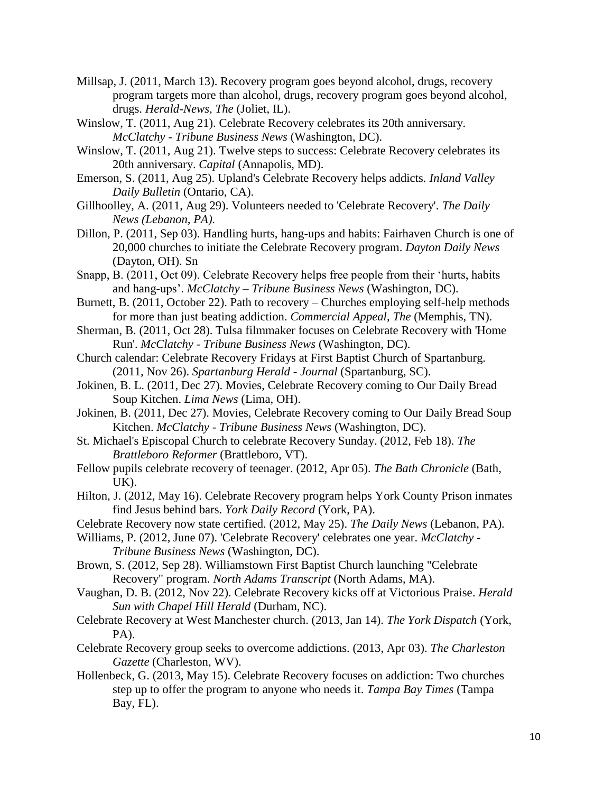- Millsap, J. (2011, March 13). Recovery program goes beyond alcohol, drugs, recovery program targets more than alcohol, drugs, recovery program goes beyond alcohol, drugs. *Herald-News, The* (Joliet, IL).
- Winslow, T. (2011, Aug 21). Celebrate Recovery celebrates its 20th anniversary. *McClatchy - Tribune Business News* (Washington, DC).
- Winslow, T. (2011, Aug 21). Twelve steps to success: Celebrate Recovery celebrates its 20th anniversary. *Capital* (Annapolis, MD).
- Emerson, S. (2011, Aug 25). Upland's Celebrate Recovery helps addicts. *Inland Valley Daily Bulletin* (Ontario, CA).
- Gillhoolley, A. (2011, Aug 29). Volunteers needed to 'Celebrate Recovery'. *The Daily News (Lebanon, PA).*
- Dillon, P. (2011, Sep 03). Handling hurts, hang-ups and habits: Fairhaven Church is one of 20,000 churches to initiate the Celebrate Recovery program. *Dayton Daily News* (Dayton, OH). Sn
- Snapp, B. (2011, Oct 09). Celebrate Recovery helps free people from their 'hurts, habits and hang-ups'. *McClatchy – Tribune Business News* (Washington, DC).
- Burnett, B. (2011, October 22). Path to recovery Churches employing self-help methods for more than just beating addiction. *Commercial Appeal, The* (Memphis, TN).
- Sherman, B. (2011, Oct 28). Tulsa filmmaker focuses on Celebrate Recovery with 'Home Run'. *McClatchy - Tribune Business News* (Washington, DC).
- Church calendar: Celebrate Recovery Fridays at First Baptist Church of Spartanburg. (2011, Nov 26). *Spartanburg Herald - Journal* (Spartanburg, SC).
- Jokinen, B. L. (2011, Dec 27). Movies, Celebrate Recovery coming to Our Daily Bread Soup Kitchen. *Lima News* (Lima, OH).
- Jokinen, B. (2011, Dec 27). Movies, Celebrate Recovery coming to Our Daily Bread Soup Kitchen. *McClatchy - Tribune Business News* (Washington, DC).
- St. Michael's Episcopal Church to celebrate Recovery Sunday. (2012, Feb 18). *The Brattleboro Reformer* (Brattleboro, VT).
- Fellow pupils celebrate recovery of teenager. (2012, Apr 05). *The Bath Chronicle* (Bath,  $UK$ ).
- Hilton, J. (2012, May 16). Celebrate Recovery program helps York County Prison inmates find Jesus behind bars. *York Daily Record* (York, PA).
- Celebrate Recovery now state certified. (2012, May 25). *The Daily News* (Lebanon, PA).
- Williams, P. (2012, June 07). 'Celebrate Recovery' celebrates one year. *McClatchy - Tribune Business News* (Washington, DC).
- Brown, S. (2012, Sep 28). Williamstown First Baptist Church launching "Celebrate Recovery" program. *North Adams Transcript* (North Adams, MA).
- Vaughan, D. B. (2012, Nov 22). Celebrate Recovery kicks off at Victorious Praise. *Herald Sun with Chapel Hill Herald* (Durham, NC).
- Celebrate Recovery at West Manchester church. (2013, Jan 14). *The York Dispatch* (York, PA).
- Celebrate Recovery group seeks to overcome addictions. (2013, Apr 03). *The Charleston Gazette* (Charleston, WV).
- Hollenbeck, G. (2013, May 15). Celebrate Recovery focuses on addiction: Two churches step up to offer the program to anyone who needs it. *Tampa Bay Times* (Tampa Bay, FL).